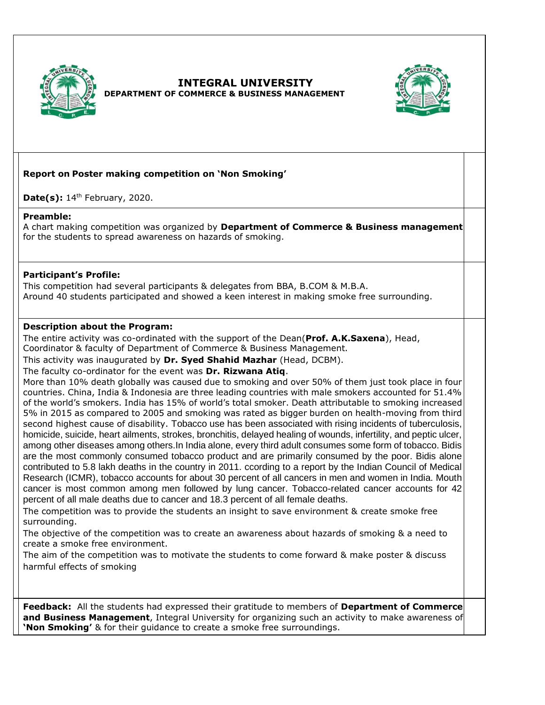

# **INTEGRAL UNIVERSITY DEPARTMENT OF COMMERCE & BUSINESS MANAGEMENT**



# **Report on Poster making competition on 'Non Smoking'**

**Date(s):** 14<sup>th</sup> February, 2020.

#### **Preamble:**

A chart making competition was organized by **Department of Commerce & Business management** for the students to spread awareness on hazards of smoking.

## **Participant's Profile:**

This competition had several participants & delegates from BBA, B.COM & M.B.A. Around 40 students participated and showed a keen interest in making smoke free surrounding.

## **Description about the Program:**

The entire activity was co-ordinated with the support of the Dean(**Prof. A.K.Saxena**), Head, Coordinator & faculty of Department of Commerce & Business Management.

This activity was inaugurated by **Dr. Syed Shahid Mazhar** (Head, DCBM).

The faculty co-ordinator for the event was **Dr. Rizwana Atiq**.

More than 10% death globally was caused due to smoking and over 50% of them just took place in four countries. China, India & Indonesia are three leading countries with male smokers accounted for 51.4% of the world's smokers. India has 15% of world's total smoker. Death attributable to smoking increased 5% in 2015 as compared to 2005 and smoking was rated as bigger burden on health-moving from third second highest cause of disability. Tobacco use has been associated with rising incidents of tuberculosis, homicide, suicide, heart ailments, strokes, bronchitis, delayed healing of wounds, infertility, and peptic ulcer, among other diseases among others.In India alone, every third adult consumes some form of tobacco. Bidis are the most commonly consumed tobacco product and are primarily consumed by the poor. Bidis alone contributed to 5.8 lakh deaths in the country in 2011. ccording to a report by the Indian Council of Medical Research (ICMR), tobacco accounts for about 30 percent of all cancers in men and women in India. Mouth cancer is most common among men followed by lung cancer. Tobacco-related cancer accounts for 42 percent of all male deaths due to cancer and 18.3 percent of all female deaths.

The competition was to provide the students an insight to save environment & create smoke free surrounding.

The objective of the competition was to create an awareness about hazards of smoking & a need to create a smoke free environment.

The aim of the competition was to motivate the students to come forward & make poster & discuss harmful effects of smoking

**Feedback:** All the students had expressed their gratitude to members of **Department of Commerce and Business Management**, Integral University for organizing such an activity to make awareness of **'Non Smoking'** & for their guidance to create a smoke free surroundings.